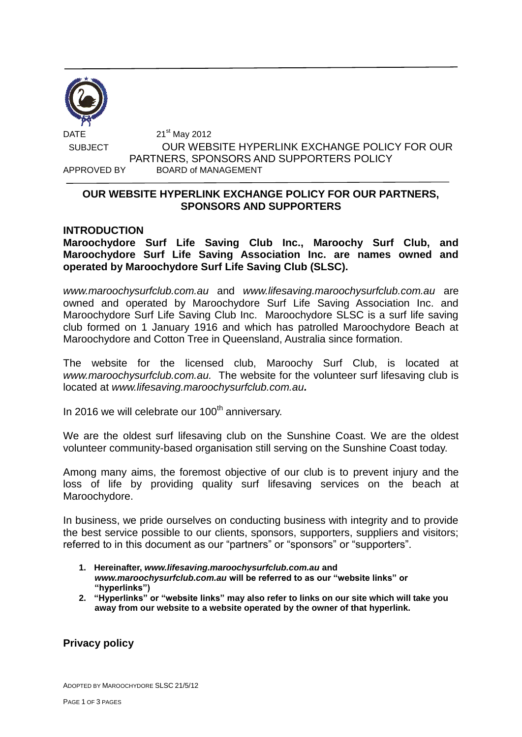

DATE 21 21<sup>st</sup> May 2012 SUBJECT OUR WEBSITE HYPERLINK EXCHANGE POLICY FOR OUR PARTNERS, SPONSORS AND SUPPORTERS POLICY APPROVED BY BOARD of MANAGEMENT

## **OUR WEBSITE HYPERLINK EXCHANGE POLICY FOR OUR PARTNERS, SPONSORS AND SUPPORTERS**

### **INTRODUCTION**

**Maroochydore Surf Life Saving Club Inc., Maroochy Surf Club, and Maroochydore Surf Life Saving Association Inc. are names owned and operated by Maroochydore Surf Life Saving Club (SLSC).**

*www.maroochysurfclub.com.au* and *[www.lifesaving.maroochysurfclub.com.au](http://www.lifesaving.maroochysurfclub.com.au/)* are owned and operated by Maroochydore Surf Life Saving Association Inc. and Maroochydore Surf Life Saving Club Inc. Maroochydore SLSC is a surf life saving club formed on 1 January 1916 and which has patrolled Maroochydore Beach at Maroochydore and Cotton Tree in Queensland, Australia since formation.

The website for the licensed club, Maroochy Surf Club, is located at *www.maroochysurfclub.com.au.* The website for the volunteer surf lifesaving club is located at *[www.lifesaving.maroochysurfclub.com.au](http://www.lifesaving.maroochysurfclub.com.au/).*

In 2016 we will celebrate our  $100<sup>th</sup>$  anniversary.

We are the oldest surf lifesaving club on the Sunshine Coast. We are the oldest volunteer community-based organisation still serving on the Sunshine Coast today.

Among many aims, the foremost objective of our club is to prevent injury and the loss of life by providing quality surf lifesaving services on the beach at Maroochydore.

In business, we pride ourselves on conducting business with integrity and to provide the best service possible to our clients, sponsors, supporters, suppliers and visitors; referred to in this document as our "partners" or "sponsors" or "supporters".

- **1. Hereinafter,** *[www.lifesaving.maroochysurfclub.com.au](http://www.lifesaving.maroochysurfclub.com.au/)* **and**  *www.maroochysurfclub.com.au* **will be referred to as our "website links" or "hyperlinks")**
- **2. "Hyperlinks" or "website links" may also refer to links on our site which will take you away from our website to a website operated by the owner of that hyperlink.**

# **Privacy policy**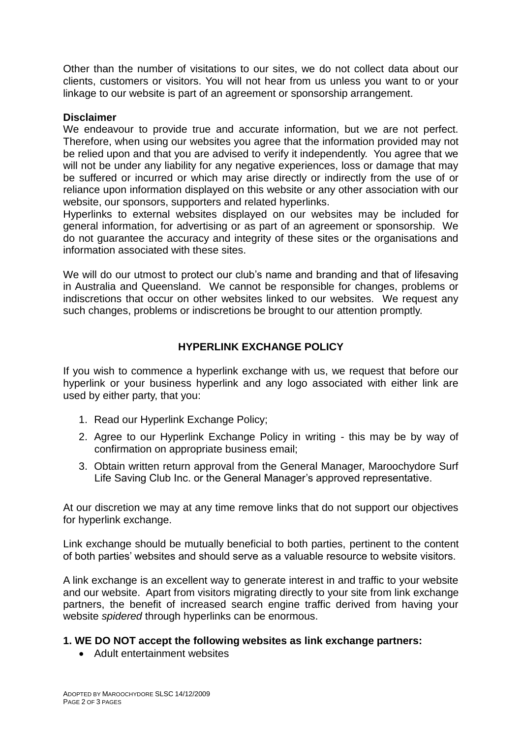Other than the number of visitations to our sites, we do not collect data about our clients, customers or visitors. You will not hear from us unless you want to or your linkage to our website is part of an agreement or sponsorship arrangement.

### **Disclaimer**

We endeavour to provide true and accurate information, but we are not perfect. Therefore, when using our websites you agree that the information provided may not be relied upon and that you are advised to verify it independently. You agree that we will not be under any liability for any negative experiences, loss or damage that may be suffered or incurred or which may arise directly or indirectly from the use of or reliance upon information displayed on this website or any other association with our website, our sponsors, supporters and related hyperlinks.

Hyperlinks to external websites displayed on our websites may be included for general information, for advertising or as part of an agreement or sponsorship. We do not guarantee the accuracy and integrity of these sites or the organisations and information associated with these sites.

We will do our utmost to protect our club's name and branding and that of lifesaving in Australia and Queensland. We cannot be responsible for changes, problems or indiscretions that occur on other websites linked to our websites. We request any such changes, problems or indiscretions be brought to our attention promptly.

### **HYPERLINK EXCHANGE POLICY**

If you wish to commence a hyperlink exchange with us, we request that before our hyperlink or your business hyperlink and any logo associated with either link are used by either party, that you:

- 1. Read our Hyperlink Exchange Policy;
- 2. Agree to our Hyperlink Exchange Policy in writing this may be by way of confirmation on appropriate business email;
- 3. Obtain written return approval from the General Manager, Maroochydore Surf Life Saving Club Inc. or the General Manager's approved representative.

At our discretion we may at any time remove links that do not support our objectives for hyperlink exchange.

Link exchange should be mutually beneficial to both parties, pertinent to the content of both parties' websites and should serve as a valuable resource to website visitors.

A link exchange is an excellent way to generate interest in and traffic to your website and our website. Apart from visitors migrating directly to your site from link exchange partners, the benefit of increased search engine traffic derived from having your website *spidered* through hyperlinks can be enormous.

## **1. WE DO NOT accept the following websites as link exchange partners:**

Adult entertainment websites